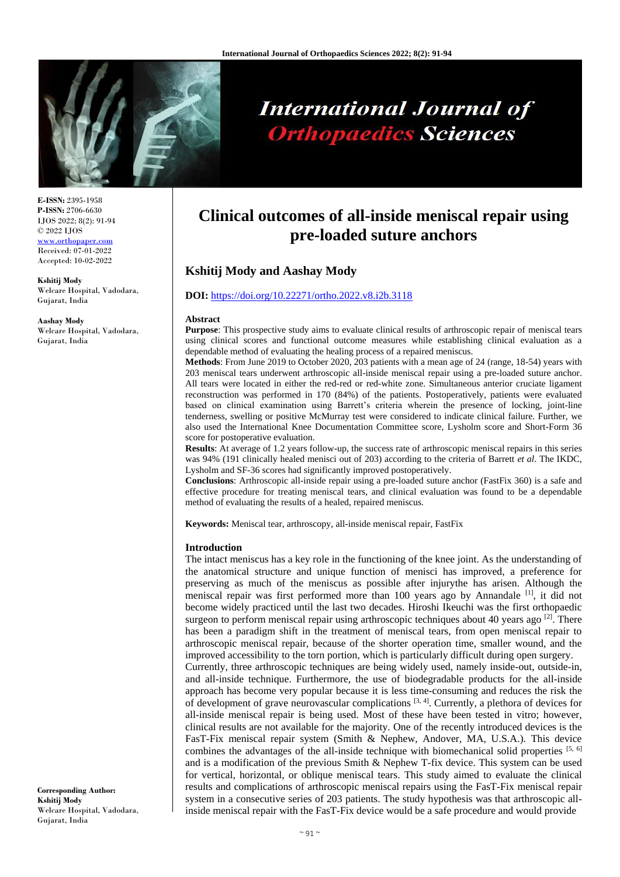

# **International Journal of Orthopaedics Sciences**

**E-ISSN:** 2395-1958 **P-ISSN:** 2706-6630 IJOS 2022; 8(2): 91-94 © 2022 IJOS www.orthopap Received: 07-01-2022 Accepted: 10-02-2022

**Kshitij Mody** Welcare Hospital, Vadodara, Gujarat, India

**Aashay Mody** Welcare Hospital, Vadodara, Gujarat, India

**Clinical outcomes of all-inside meniscal repair using pre-loaded suture anchors**

# **Kshitij Mody and Aashay Mody**

# **DOI:** <https://doi.org/10.22271/ortho.2022.v8.i2b.3118>

#### **Abstract**

**Purpose**: This prospective study aims to evaluate clinical results of arthroscopic repair of meniscal tears using clinical scores and functional outcome measures while establishing clinical evaluation as a dependable method of evaluating the healing process of a repaired meniscus.

**Methods**: From June 2019 to October 2020, 203 patients with a mean age of 24 (range, 18-54) years with 203 meniscal tears underwent arthroscopic all-inside meniscal repair using a pre-loaded suture anchor. All tears were located in either the red-red or red-white zone. Simultaneous anterior cruciate ligament reconstruction was performed in 170 (84%) of the patients. Postoperatively, patients were evaluated based on clinical examination using Barrett's criteria wherein the presence of locking, joint-line tenderness, swelling or positive McMurray test were considered to indicate clinical failure. Further, we also used the International Knee Documentation Committee score, Lysholm score and Short-Form 36 score for postoperative evaluation.

**Results**: At average of 1.2 years follow-up, the success rate of arthroscopic meniscal repairs in this series was 94% (191 clinically healed menisci out of 203) according to the criteria of Barrett *et al*. The IKDC, Lysholm and SF-36 scores had significantly improved postoperatively.

**Conclusions**: Arthroscopic all-inside repair using a pre-loaded suture anchor (FastFix 360) is a safe and effective procedure for treating meniscal tears, and clinical evaluation was found to be a dependable method of evaluating the results of a healed, repaired meniscus.

**Keywords:** Meniscal tear, arthroscopy, all-inside meniscal repair, FastFix

#### **Introduction**

The intact meniscus has a key role in the functioning of the knee joint. As the understanding of the anatomical structure and unique function of menisci has improved, a preference for preserving as much of the meniscus as possible after injurythe has arisen. Although the meniscal repair was first performed more than 100 years ago by Annandale [1], it did not become widely practiced until the last two decades. Hiroshi Ikeuchi was the first orthopaedic surgeon to perform meniscal repair using arthroscopic techniques about 40 years ago  $^{[2]}$ . There has been a paradigm shift in the treatment of meniscal tears, from open meniscal repair to arthroscopic meniscal repair, because of the shorter operation time, smaller wound, and the improved accessibility to the torn portion, which is particularly difficult during open surgery. Currently, three arthroscopic techniques are being widely used, namely inside-out, outside-in, and all-inside technique. Furthermore, the use of biodegradable products for the all-inside approach has become very popular because it is less time-consuming and reduces the risk the of development of grave neurovascular complications  $[3, 4]$ . Currently, a plethora of devices for all-inside meniscal repair is being used. Most of these have been tested in vitro; however, clinical results are not available for the majority. One of the recently introduced devices is the FasT-Fix meniscal repair system (Smith & Nephew, Andover, MA, U.S.A.). This device combines the advantages of the all-inside technique with biomechanical solid properties  $[5, 6]$ and is a modification of the previous Smith & Nephew T-fix device. This system can be used for vertical, horizontal, or oblique meniscal tears. This study aimed to evaluate the clinical results and complications of arthroscopic meniscal repairs using the FasT-Fix meniscal repair system in a consecutive series of 203 patients. The study hypothesis was that arthroscopic allinside meniscal repair with the FasT-Fix device would be a safe procedure and would provide

**Corresponding Author: Kshitij Mody** Welcare Hospital, Vadodara, Gujarat, India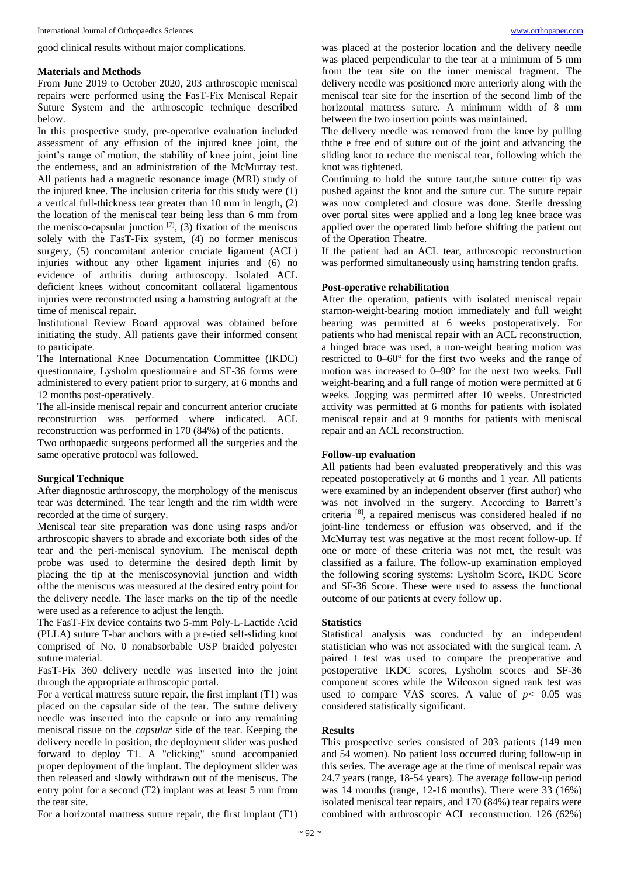good clinical results without major complications.

#### **Materials and Methods**

From June 2019 to October 2020, 203 arthroscopic meniscal repairs were performed using the FasT-Fix Meniscal Repair Suture System and the arthroscopic technique described below.

In this prospective study, pre-operative evaluation included assessment of any effusion of the injured knee joint, the joint's range of motion, the stability of knee joint, joint line the enderness, and an administration of the McMurray test. All patients had a magnetic resonance image (MRI) study of the injured knee. The inclusion criteria for this study were (1) a vertical full-thickness tear greater than 10 mm in length, (2) the location of the meniscal tear being less than 6 mm from the menisco-capsular junction  $[7]$ , (3) fixation of the meniscus solely with the FasT-Fix system, (4) no former meniscus surgery, (5) concomitant anterior cruciate ligament (ACL) injuries without any other ligament injuries and (6) no evidence of arthritis during arthroscopy. Isolated ACL deficient knees without concomitant collateral ligamentous injuries were reconstructed using a hamstring autograft at the time of meniscal repair.

Institutional Review Board approval was obtained before initiating the study. All patients gave their informed consent to participate.

The International Knee Documentation Committee (IKDC) questionnaire, Lysholm questionnaire and SF-36 forms were administered to every patient prior to surgery, at 6 months and 12 months post-operatively.

The all-inside meniscal repair and concurrent anterior cruciate reconstruction was performed where indicated. ACL reconstruction was performed in 170 (84%) of the patients.

Two orthopaedic surgeons performed all the surgeries and the same operative protocol was followed.

# **Surgical Technique**

After diagnostic arthroscopy, the morphology of the meniscus tear was determined. The tear length and the rim width were recorded at the time of surgery.

Meniscal tear site preparation was done using rasps and/or arthroscopic shavers to abrade and excoriate both sides of the tear and the peri-meniscal synovium. The meniscal depth probe was used to determine the desired depth limit by placing the tip at the meniscosynovial junction and width ofthe the meniscus was measured at the desired entry point for the delivery needle. The laser marks on the tip of the needle were used as a reference to adjust the length.

The FasT-Fix device contains two 5-mm Poly-L-Lactide Acid (PLLA) suture T-bar anchors with a pre-tied self-sliding knot comprised of No. 0 nonabsorbable USP braided polyester suture material.

FasT-Fix 360 delivery needle was inserted into the joint through the appropriate arthroscopic portal.

For a vertical mattress suture repair, the first implant (T1) was placed on the capsular side of the tear. The suture delivery needle was inserted into the capsule or into any remaining meniscal tissue on the *capsular* side of the tear. Keeping the delivery needle in position, the deployment slider was pushed forward to deploy T1. A "clicking" sound accompanied proper deployment of the implant. The deployment slider was then released and slowly withdrawn out of the meniscus. The entry point for a second (T2) implant was at least 5 mm from the tear site.

For a horizontal mattress suture repair, the first implant (T1)

was placed at the posterior location and the delivery needle was placed perpendicular to the tear at a minimum of 5 mm from the tear site on the inner meniscal fragment. The delivery needle was positioned more anteriorly along with the meniscal tear site for the insertion of the second limb of the horizontal mattress suture. A minimum width of 8 mm between the two insertion points was maintained.

The delivery needle was removed from the knee by pulling ththe e free end of suture out of the joint and advancing the sliding knot to reduce the meniscal tear, following which the knot was tightened.

Continuing to hold the suture taut, the suture cutter tip was pushed against the knot and the suture cut. The suture repair was now completed and closure was done. Sterile dressing over portal sites were applied and a long leg knee brace was applied over the operated limb before shifting the patient out of the Operation Theatre.

If the patient had an ACL tear, arthroscopic reconstruction was performed simultaneously using hamstring tendon grafts.

#### **Post-operative rehabilitation**

After the operation, patients with isolated meniscal repair starnon-weight-bearing motion immediately and full weight bearing was permitted at 6 weeks postoperatively. For patients who had meniscal repair with an ACL reconstruction, a hinged brace was used, a non-weight bearing motion was restricted to 0–60° for the first two weeks and the range of motion was increased to 0–90° for the next two weeks. Full weight-bearing and a full range of motion were permitted at 6 weeks. Jogging was permitted after 10 weeks. Unrestricted activity was permitted at 6 months for patients with isolated meniscal repair and at 9 months for patients with meniscal repair and an ACL reconstruction.

#### **Follow-up evaluation**

All patients had been evaluated preoperatively and this was repeated postoperatively at 6 months and 1 year. All patients were examined by an independent observer (first author) who was not involved in the surgery. According to Barrett's criteria [8], a repaired meniscus was considered healed if no joint-line tenderness or effusion was observed, and if the McMurray test was negative at the most recent follow-up. If one or more of these criteria was not met, the result was classified as a failure. The follow-up examination employed the following scoring systems: Lysholm Score, IKDC Score and SF-36 Score. These were used to assess the functional outcome of our patients at every follow up.

#### **Statistics**

Statistical analysis was conducted by an independent statistician who was not associated with the surgical team. A paired t test was used to compare the preoperative and postoperative IKDC scores, Lysholm scores and SF-36 component scores while the Wilcoxon signed rank test was used to compare VAS scores. A value of  $p < 0.05$  was considered statistically significant.

# **Results**

This prospective series consisted of 203 patients (149 men and 54 women). No patient loss occurred during follow-up in this series. The average age at the time of meniscal repair was 24.7 years (range, 18-54 years). The average follow-up period was 14 months (range, 12-16 months). There were 33 (16%) isolated meniscal tear repairs, and 170 (84%) tear repairs were combined with arthroscopic ACL reconstruction. 126 (62%)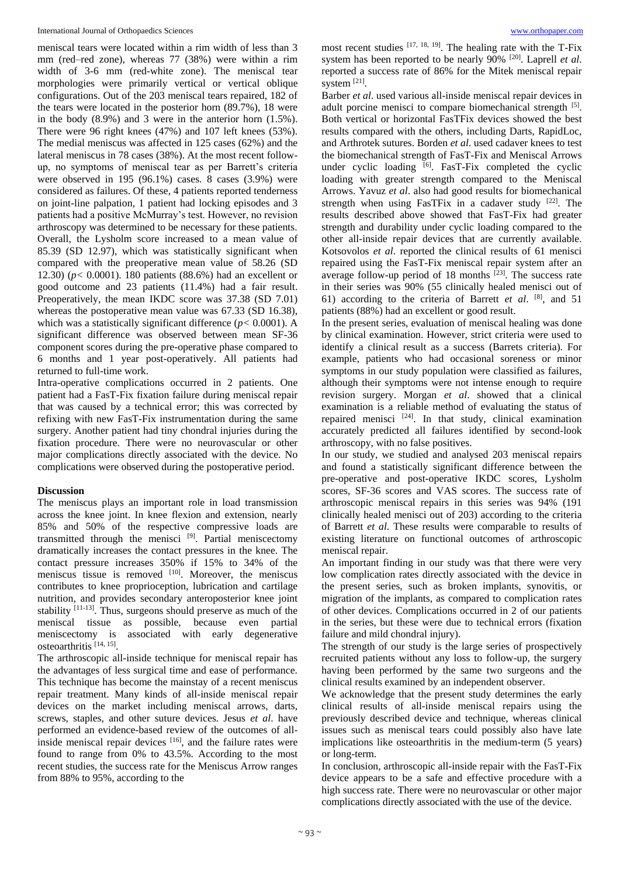meniscal tears were located within a rim width of less than 3 mm (red–red zone), whereas 77 (38%) were within a rim width of 3-6 mm (red-white zone). The meniscal tear morphologies were primarily vertical or vertical oblique configurations. Out of the 203 meniscal tears repaired, 182 of the tears were located in the posterior horn (89.7%), 18 were in the body (8.9%) and 3 were in the anterior horn (1.5%). There were 96 right knees (47%) and 107 left knees (53%). The medial meniscus was affected in 125 cases (62%) and the lateral meniscus in 78 cases (38%). At the most recent followup, no symptoms of meniscal tear as per Barrett's criteria were observed in 195 (96.1%) cases. 8 cases (3.9%) were considered as failures. Of these, 4 patients reported tenderness on joint-line palpation, 1 patient had locking episodes and 3 patients had a positive McMurray's test. However, no revision arthroscopy was determined to be necessary for these patients. Overall, the Lysholm score increased to a mean value of 85.39 (SD 12.97), which was statistically significant when compared with the preoperative mean value of 58.26 (SD 12.30) (*p<* 0.0001). 180 patients (88.6%) had an excellent or good outcome and 23 patients (11.4%) had a fair result. Preoperatively, the mean IKDC score was 37.38 (SD 7.01) whereas the postoperative mean value was 67.33 (SD 16.38), which was a statistically significant difference ( $p$ < 0.0001). A significant difference was observed between mean SF-36 component scores during the pre-operative phase compared to 6 months and 1 year post-operatively. All patients had returned to full-time work.

Intra-operative complications occurred in 2 patients. One patient had a FasT-Fix fixation failure during meniscal repair that was caused by a technical error; this was corrected by refixing with new FasT-Fix instrumentation during the same surgery. Another patient had tiny chondral injuries during the fixation procedure. There were no neurovascular or other major complications directly associated with the device. No complications were observed during the postoperative period.

# **Discussion**

The meniscus plays an important role in load transmission across the knee joint. In knee flexion and extension, nearly 85% and 50% of the respective compressive loads are transmitted through the menisci [9]. Partial meniscectomy dramatically increases the contact pressures in the knee. The contact pressure increases 350% if 15% to 34% of the meniscus tissue is removed [10]. Moreover, the meniscus contributes to knee proprioception, lubrication and cartilage nutrition, and provides secondary anteroposterior knee joint stability [11-13]. Thus, surgeons should preserve as much of the meniscal tissue as possible, because even partial meniscectomy is associated with early degenerative osteoarthritis [14, 15] .

The arthroscopic all-inside technique for meniscal repair has the advantages of less surgical time and ease of performance. This technique has become the mainstay of a recent meniscus repair treatment. Many kinds of all-inside meniscal repair devices on the market including meniscal arrows, darts, screws, staples, and other suture devices. Jesus *et al*. have performed an evidence-based review of the outcomes of allinside meniscal repair devices  $[16]$ , and the failure rates were found to range from 0% to 43.5%. According to the most recent studies, the success rate for the Meniscus Arrow ranges from 88% to 95%, according to the

most recent studies  $[17, 18, 19]$ . The healing rate with the T-Fix system has been reported to be nearly 90% [20]. Laprell *et al*. reported a success rate of 86% for the Mitek meniscal repair system [21].

Barber *et al*. used various all-inside meniscal repair devices in adult porcine menisci to compare biomechanical strength [5]. Both vertical or horizontal FasTFix devices showed the best results compared with the others, including Darts, RapidLoc, and Arthrotek sutures. Borden *et al*. used cadaver knees to test the biomechanical strength of FasT-Fix and Meniscal Arrows under cyclic loading [6]. FasT-Fix completed the cyclic loading with greater strength compared to the Meniscal Arrows. Yavuz *et al*. also had good results for biomechanical strength when using FasTFix in a cadaver study  $[22]$ . The results described above showed that FasT-Fix had greater strength and durability under cyclic loading compared to the other all-inside repair devices that are currently available. Kotsovolos *et al*. reported the clinical results of 61 menisci repaired using the FasT-Fix meniscal repair system after an average follow-up period of 18 months  $[23]$ . The success rate in their series was 90% (55 clinically healed menisci out of 61) according to the criteria of Barrett *et al*. [8], and 51 patients (88%) had an excellent or good result.

In the present series, evaluation of meniscal healing was done by clinical examination. However, strict criteria were used to identify a clinical result as a success (Barrets criteria). For example, patients who had occasional soreness or minor symptoms in our study population were classified as failures, although their symptoms were not intense enough to require revision surgery. Morgan *et al*. showed that a clinical examination is a reliable method of evaluating the status of repaired menisci [24]. In that study, clinical examination accurately predicted all failures identified by second-look arthroscopy, with no false positives.

In our study, we studied and analysed 203 meniscal repairs and found a statistically significant difference between the pre-operative and post-operative IKDC scores, Lysholm scores, SF-36 scores and VAS scores. The success rate of arthroscopic meniscal repairs in this series was 94% (191 clinically healed menisci out of 203) according to the criteria of Barrett *et al*. These results were comparable to results of existing literature on functional outcomes of arthroscopic meniscal repair.

An important finding in our study was that there were very low complication rates directly associated with the device in the present series, such as broken implants, synovitis, or migration of the implants, as compared to complication rates of other devices. Complications occurred in 2 of our patients in the series, but these were due to technical errors (fixation failure and mild chondral injury).

The strength of our study is the large series of prospectively recruited patients without any loss to follow-up, the surgery having been performed by the same two surgeons and the clinical results examined by an independent observer.

We acknowledge that the present study determines the early clinical results of all-inside meniscal repairs using the previously described device and technique, whereas clinical issues such as meniscal tears could possibly also have late implications like osteoarthritis in the medium-term (5 years) or long-term.

In conclusion, arthroscopic all-inside repair with the FasT-Fix device appears to be a safe and effective procedure with a high success rate. There were no neurovascular or other major complications directly associated with the use of the device.